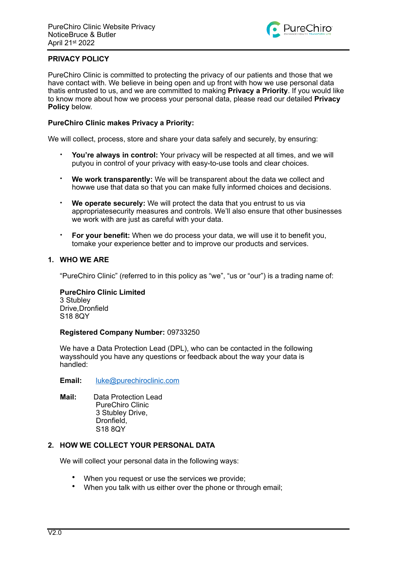

# **PRIVACY POLICY**

PureChiro Clinic is committed to protecting the privacy of our patients and those that we have contact with. We believe in being open and up front with how we use personal data thatis entrusted to us, and we are committed to making **Privacy a Priority**. If you would like to know more about how we process your personal data, please read our detailed **Privacy Policy** below.

#### **PureChiro Clinic makes Privacy a Priority:**

We will collect, process, store and share your data safely and securely, by ensuring:

- **You're always in control:** Your privacy will be respected at all times, and we will putyou in control of your privacy with easy-to-use tools and clear choices.
- **We work transparently:** We will be transparent about the data we collect and howwe use that data so that you can make fully informed choices and decisions.
- **We operate securely:** We will protect the data that you entrust to us via appropriatesecurity measures and controls. We'll also ensure that other businesses we work with are just as careful with your data.
- **For your benefit:** When we do process your data, we will use it to benefit you, tomake your experience better and to improve our products and services.

# **1. WHO WE ARE**

"PureChiro Clinic" (referred to in this policy as "we", "us or "our") is a trading name of:

**PureChiro Clinic Limited**  3 Stubley Drive,Dronfield S18 8QY

#### **Registered Company Number:** 09733250

We have a Data Protection Lead (DPL), who can be contacted in the following waysshould you have any questions or feedback about the way your data is handled:

#### **Email:** [luke@purechiroclinic.com](mailto:luke@purechiroclinic.com)

**Mail:** Data Protection Lead PureChiro Clinic 3 Stubley Drive, Dronfield, S18 8QY

### **2. HOW WE COLLECT YOUR PERSONAL DATA**

We will collect your personal data in the following ways:

- When you request or use the services we provide;
- When you talk with us either over the phone or through email;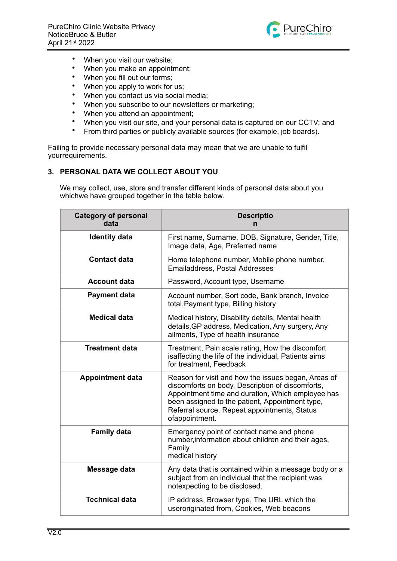

- When you visit our website;
- When you make an appointment;
- When you fill out our forms;
- When you apply to work for us;
- When you contact us via social media;
- When you subscribe to our newsletters or marketing;
- When you attend an appointment;
- When you visit our site, and your personal data is captured on our CCTV; and
- From third parties or publicly available sources (for example, job boards).

Failing to provide necessary personal data may mean that we are unable to fulfil yourrequirements.

# **3. PERSONAL DATA WE COLLECT ABOUT YOU**

We may collect, use, store and transfer different kinds of personal data about you whichwe have grouped together in the table below.

| <b>Category of personal</b><br>data | <b>Descriptio</b><br>n                                                                                                                                                                                                                                                            |
|-------------------------------------|-----------------------------------------------------------------------------------------------------------------------------------------------------------------------------------------------------------------------------------------------------------------------------------|
| <b>Identity data</b>                | First name, Surname, DOB, Signature, Gender, Title,<br>Image data, Age, Preferred name                                                                                                                                                                                            |
| <b>Contact data</b>                 | Home telephone number, Mobile phone number,<br><b>Emailaddress, Postal Addresses</b>                                                                                                                                                                                              |
| <b>Account data</b>                 | Password, Account type, Username                                                                                                                                                                                                                                                  |
| <b>Payment data</b>                 | Account number, Sort code, Bank branch, Invoice<br>total, Payment type, Billing history                                                                                                                                                                                           |
| <b>Medical data</b>                 | Medical history, Disability details, Mental health<br>details, GP address, Medication, Any surgery, Any<br>ailments, Type of health insurance                                                                                                                                     |
| <b>Treatment data</b>               | Treatment, Pain scale rating, How the discomfort<br>isaffecting the life of the individual, Patients aims<br>for treatment, Feedback                                                                                                                                              |
| <b>Appointment data</b>             | Reason for visit and how the issues began, Areas of<br>discomforts on body, Description of discomforts,<br>Appointment time and duration, Which employee has<br>been assigned to the patient, Appointment type,<br>Referral source, Repeat appointments, Status<br>ofappointment. |
| <b>Family data</b>                  | Emergency point of contact name and phone<br>number, information about children and their ages,<br>Family<br>medical history                                                                                                                                                      |
| Message data                        | Any data that is contained within a message body or a<br>subject from an individual that the recipient was<br>notexpecting to be disclosed.                                                                                                                                       |
| <b>Technical data</b>               | IP address, Browser type, The URL which the<br>useroriginated from, Cookies, Web beacons                                                                                                                                                                                          |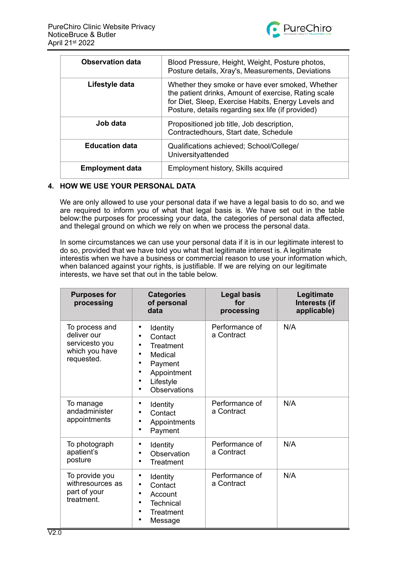

| <b>Observation data</b> | Blood Pressure, Height, Weight, Posture photos,<br>Posture details, Xray's, Measurements, Deviations                                                                                                                |
|-------------------------|---------------------------------------------------------------------------------------------------------------------------------------------------------------------------------------------------------------------|
| Lifestyle data          | Whether they smoke or have ever smoked, Whether<br>the patient drinks, Amount of exercise, Rating scale<br>for Diet, Sleep, Exercise Habits, Energy Levels and<br>Posture, details regarding sex life (if provided) |
| Job data                | Propositioned job title, Job description,<br>Contractedhours, Start date, Schedule                                                                                                                                  |
| <b>Education data</b>   | Qualifications achieved; School/College/<br>Universityattended                                                                                                                                                      |
| <b>Employment data</b>  | Employment history, Skills acquired                                                                                                                                                                                 |

## **4. HOW WE USE YOUR PERSONAL DATA**

We are only allowed to use your personal data if we have a legal basis to do so, and we are required to inform you of what that legal basis is. We have set out in the table below:the purposes for processing your data, the categories of personal data affected, and thelegal ground on which we rely on when we process the personal data.

In some circumstances we can use your personal data if it is in our legitimate interest to do so, provided that we have told you what that legitimate interest is. A legitimate interestis when we have a business or commercial reason to use your information which, when balanced against your rights, is justifiable. If we are relying on our legitimate interests, we have set that out in the table below.

| <b>Purposes for</b><br>processing                                               | <b>Categories</b><br>of personal<br>data                                                           | <b>Legal basis</b><br>for<br>processing | Legitimate<br>Interests (if<br>applicable) |
|---------------------------------------------------------------------------------|----------------------------------------------------------------------------------------------------|-----------------------------------------|--------------------------------------------|
| To process and<br>deliver our<br>servicesto you<br>which you have<br>requested. | Identity<br>Contact<br>Treatment<br>Medical<br>Payment<br>Appointment<br>Lifestyle<br>Observations | Performance of<br>a Contract            | N/A                                        |
| To manage<br>andadminister<br>appointments                                      | Identity<br>Contact<br>Appointments<br>Payment                                                     | Performance of<br>a Contract            | N/A                                        |
| To photograph<br>apatient's<br>posture                                          | Identity<br>Observation<br>Treatment                                                               | Performance of<br>a Contract            | N/A                                        |
| To provide you<br>withresources as<br>part of your<br>treatment.                | Identity<br>Contact<br>Account<br><b>Technical</b><br><b>Treatment</b><br>Message                  | Performance of<br>a Contract            | N/A                                        |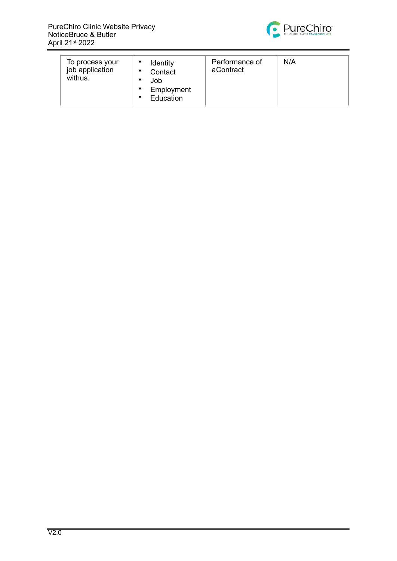

| To process your<br>Identity<br>job application<br>Contact<br>withus.<br>Job<br>Employment<br>Education | Performance of<br>aContract | N/A |
|--------------------------------------------------------------------------------------------------------|-----------------------------|-----|
|--------------------------------------------------------------------------------------------------------|-----------------------------|-----|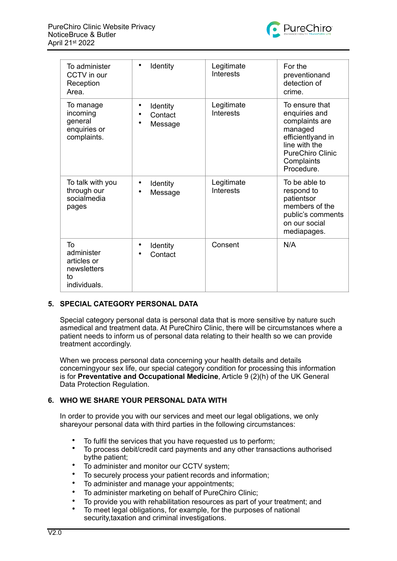

| To administer<br>CCTV in our<br>Reception<br>Area.                   | Identity                                    | Legitimate<br><b>Interests</b> | For the<br>preventionand<br>detection of<br>crime.                                                                                                        |
|----------------------------------------------------------------------|---------------------------------------------|--------------------------------|-----------------------------------------------------------------------------------------------------------------------------------------------------------|
| To manage<br>incoming<br>general<br>enquiries or<br>complaints.      | Identity<br>Contact<br>Message<br>$\bullet$ | Legitimate<br><b>Interests</b> | To ensure that<br>enquiries and<br>complaints are<br>managed<br>efficientlyand in<br>line with the<br><b>PureChiro Clinic</b><br>Complaints<br>Procedure. |
| To talk with you<br>through our<br>socialmedia<br>pages              | Identity<br>Message                         | Legitimate<br>Interests        | To be able to<br>respond to<br>patientsor<br>members of the<br>public's comments<br>on our social<br>mediapages.                                          |
| To<br>administer<br>articles or<br>newsletters<br>to<br>individuals. | Identity<br>Contact                         | Consent                        | N/A                                                                                                                                                       |

### **5. SPECIAL CATEGORY PERSONAL DATA**

Special category personal data is personal data that is more sensitive by nature such asmedical and treatment data. At PureChiro Clinic, there will be circumstances where a patient needs to inform us of personal data relating to their health so we can provide treatment accordingly.

When we process personal data concerning your health details and details concerningyour sex life, our special category condition for processing this information is for **Preventative and Occupational Medicine**, Article 9 (2)(h) of the UK General Data Protection Regulation.

### **6. WHO WE SHARE YOUR PERSONAL DATA WITH**

In order to provide you with our services and meet our legal obligations, we only shareyour personal data with third parties in the following circumstances:

- To fulfil the services that you have requested us to perform;<br>• To process debit/credit eard payments and any other transp
- To process debit/credit card payments and any other transactions authorised bythe patient;
- To administer and monitor our CCTV system;
- To securely process your patient records and information;
- To administer and manage your appointments;
- To administer marketing on behalf of PureChiro Clinic;
- To provide you with rehabilitation resources as part of your treatment; and
- To meet legal obligations, for example, for the purposes of national security,taxation and criminal investigations.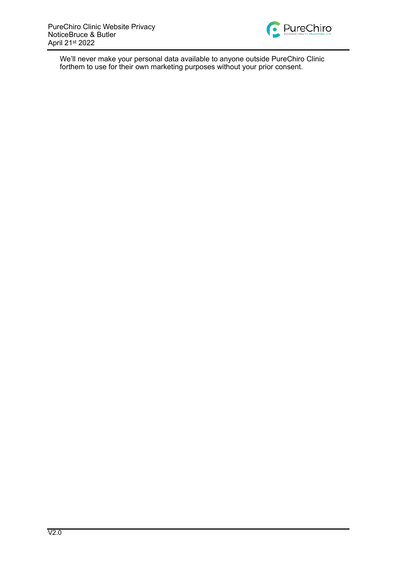

We'll never make your personal data available to anyone outside PureChiro Clinic forthem to use for their own marketing purposes without your prior consent.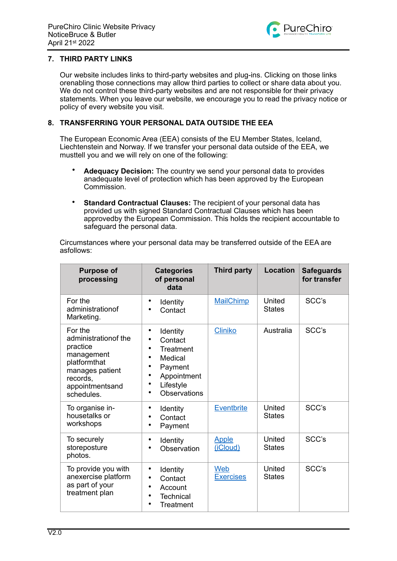

### **7. THIRD PARTY LINKS**

Our website includes links to third-party websites and plug-ins. Clicking on those links orenabling those connections may allow third parties to collect or share data about you. We do not control these third-party websites and are not responsible for their privacy statements. When you leave our website, we encourage you to read the privacy notice or policy of every website you visit.

### **8. TRANSFERRING YOUR PERSONAL DATA OUTSIDE THE EEA**

The European Economic Area (EEA) consists of the EU Member States, Iceland, Liechtenstein and Norway. If we transfer your personal data outside of the EEA, we musttell you and we will rely on one of the following:

- **Adequacy Decision:** The country we send your personal data to provides anadequate level of protection which has been approved by the European Commission.
- **Standard Contractual Clauses:** The recipient of your personal data has provided us with signed Standard Contractual Clauses which has been approvedby the European Commission. This holds the recipient accountable to safeguard the personal data.

Circumstances where your personal data may be transferred outside of the EEA are asfollows:

| <b>Purpose of</b><br>processing                                                                                                            | <b>Categories</b><br>of personal<br>data                                                                                  | <b>Third party</b>       | <b>Location</b>         | <b>Safeguards</b><br>for transfer |
|--------------------------------------------------------------------------------------------------------------------------------------------|---------------------------------------------------------------------------------------------------------------------------|--------------------------|-------------------------|-----------------------------------|
| For the<br>administrationof<br>Marketing.                                                                                                  | Identity<br>Contact                                                                                                       | <b>MailChimp</b>         | United<br><b>States</b> | SCC's                             |
| For the<br>administration of the<br>practice<br>management<br>platformthat<br>manages patient<br>records,<br>appointmentsand<br>schedules. | ٠<br>Identity<br>Contact<br>Treatment<br>Medical<br>$\bullet$<br>Payment<br>Appointment<br>Lifestyle<br>Observations<br>٠ | <b>Cliniko</b>           | Australia               | SCC's                             |
| To organise in-<br>housetalks or<br>workshops                                                                                              | ٠<br>Identity<br>Contact<br>٠<br>Payment                                                                                  | <b>Eventbrite</b>        | United<br><b>States</b> | SCC's                             |
| To securely<br>storeposture<br>photos.                                                                                                     | Identity<br>$\bullet$<br>Observation                                                                                      | <b>Apple</b><br>(iCloud) | United<br><b>States</b> | SCC's                             |
| To provide you with<br>anexercise platform<br>as part of your<br>treatment plan                                                            | ٠<br>Identity<br>Contact<br>٠<br>Account<br>٠<br><b>Technical</b><br>$\bullet$<br>$\bullet$<br>Treatment                  | Web<br><b>Exercises</b>  | United<br><b>States</b> | SCC's                             |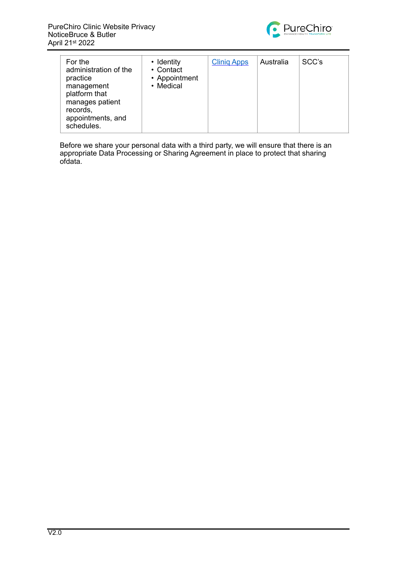

| For the<br>administration of the<br>practice<br>management<br>platform that<br>manages patient<br>records,<br>appointments, and<br>schedules. | • Identity<br>• Contact<br>• Appointment<br>• Medical | <b>Clinig Apps</b> | Australia | SCC's |
|-----------------------------------------------------------------------------------------------------------------------------------------------|-------------------------------------------------------|--------------------|-----------|-------|
|-----------------------------------------------------------------------------------------------------------------------------------------------|-------------------------------------------------------|--------------------|-----------|-------|

Before we share your personal data with a third party, we will ensure that there is an appropriate Data Processing or Sharing Agreement in place to protect that sharing ofdata.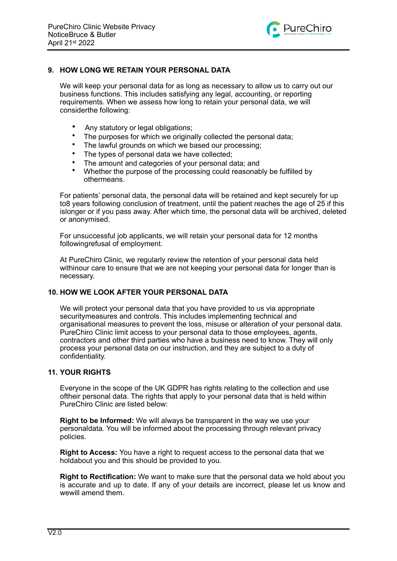

## **9. HOW LONG WE RETAIN YOUR PERSONAL DATA**

We will keep your personal data for as long as necessary to allow us to carry out our business functions. This includes satisfying any legal, accounting, or reporting requirements. When we assess how long to retain your personal data, we will considerthe following:

- Any statutory or legal obligations;
- The purposes for which we originally collected the personal data;
- The lawful grounds on which we based our processing:
- The types of personal data we have collected:
- The amount and categories of your personal data; and
- Whether the purpose of the processing could reasonably be fulfilled by othermeans.

For patients' personal data, the personal data will be retained and kept securely for up to8 years following conclusion of treatment, until the patient reaches the age of 25 if this islonger or if you pass away. After which time, the personal data will be archived, deleted or anonymised.

For unsuccessful job applicants, we will retain your personal data for 12 months followingrefusal of employment.

At PureChiro Clinic, we regularly review the retention of your personal data held withinour care to ensure that we are not keeping your personal data for longer than is necessary.

### **10. HOW WE LOOK AFTER YOUR PERSONAL DATA**

We will protect your personal data that you have provided to us via appropriate securitymeasures and controls. This includes implementing technical and organisational measures to prevent the loss, misuse or alteration of your personal data. PureChiro Clinic limit access to your personal data to those employees, agents, contractors and other third parties who have a business need to know. They will only process your personal data on our instruction, and they are subject to a duty of confidentiality.

#### **11. YOUR RIGHTS**

Everyone in the scope of the UK GDPR has rights relating to the collection and use oftheir personal data. The rights that apply to your personal data that is held within PureChiro Clinic are listed below:

**Right to be Informed:** We will always be transparent in the way we use your personaldata. You will be informed about the processing through relevant privacy policies.

**Right to Access:** You have a right to request access to the personal data that we holdabout you and this should be provided to you.

**Right to Rectification:** We want to make sure that the personal data we hold about you is accurate and up to date. If any of your details are incorrect, please let us know and wewill amend them.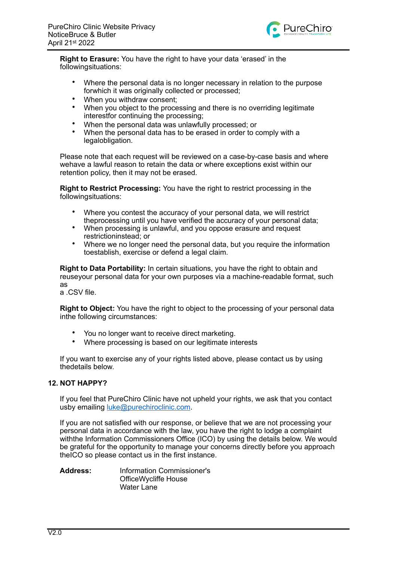

**Right to Erasure:** You have the right to have your data 'erased' in the followingsituations:

- Where the personal data is no longer necessary in relation to the purpose forwhich it was originally collected or processed;
- When you withdraw consent:
- When you object to the processing and there is no overriding legitimate interestfor continuing the processing;
- When the personal data was unlawfully processed; or
- When the personal data has to be erased in order to comply with a legalobligation.

Please note that each request will be reviewed on a case-by-case basis and where wehave a lawful reason to retain the data or where exceptions exist within our retention policy, then it may not be erased.

**Right to Restrict Processing:** You have the right to restrict processing in the followingsituations:

- Where you contest the accuracy of your personal data, we will restrict theprocessing until you have verified the accuracy of your personal data;
- When processing is unlawful, and you oppose erasure and request restrictioninstead; or
- Where we no longer need the personal data, but you require the information toestablish, exercise or defend a legal claim.

**Right to Data Portability:** In certain situations, you have the right to obtain and reuseyour personal data for your own purposes via a machine-readable format, such as

a .CSV file.

**Right to Object:** You have the right to object to the processing of your personal data inthe following circumstances:

- You no longer want to receive direct marketing.
- Where processing is based on our legitimate interests

If you want to exercise any of your rights listed above, please contact us by using thedetails below.

# **12. NOT HAPPY?**

If you feel that PureChiro Clinic have not upheld your rights, we ask that you contact usby emailing [luke@purechiroclinic.com.](mailto:luke@purechiroclinic.com)

If you are not satisfied with our response, or believe that we are not processing your personal data in accordance with the law, you have the right to lodge a complaint withthe Information Commissioners Office (ICO) by using the details below. We would be grateful for the opportunity to manage your concerns directly before you approach theICO so please contact us in the first instance.

**Address:** Information Commissioner's OfficeWycliffe House Water Lane